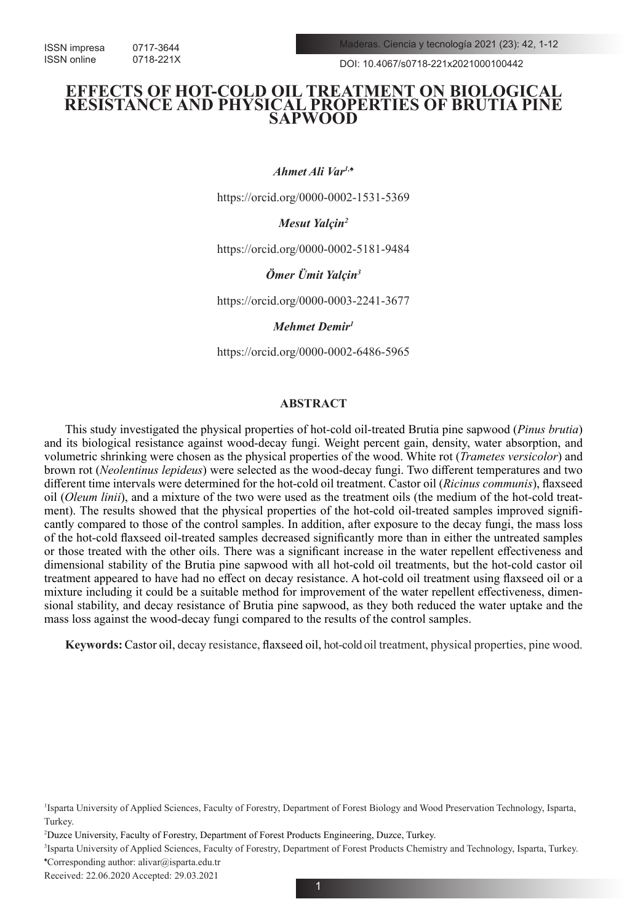DOI: 10.4067/s0718-221x2021000100442

# **EFFECTS OF HOT-COLD OIL TREATMENT ON BIOLOGICAL RESISTANCE AND PHYSICAL PROPERTIES OF BRUTIA PINE SAPWOOD**

*Ahmet Ali Var1,♠*

https://orcid.org/0000-0002-1531-5369

*Mesut Yalçin2*

https://orcid.org/0000-0002-5181-9484

*Ömer Ümit Yalçin3*

https://orcid.org/0000-0003-2241-3677

*Mehmet Demir1*

https://orcid.org/0000-0002-6486-5965

# **ABSTRACT**

This study investigated the physical properties of hot-cold oil-treated Brutia pine sapwood (*Pinus brutia*) and its biological resistance against wood-decay fungi. Weight percent gain, density, water absorption, and volumetric shrinking were chosen as the physical properties of the wood. White rot (*Trametes versicolor*) and brown rot (*Neolentinus lepideus*) were selected as the wood-decay fungi. Two different temperatures and two different time intervals were determined for the hot-cold oil treatment. Castor oil (*Ricinus communis*), flaxseed oil (*Oleum linii*), and a mixture of the two were used as the treatment oils (the medium of the hot-cold treatment). The results showed that the physical properties of the hot-cold oil-treated samples improved significantly compared to those of the control samples. In addition, after exposure to the decay fungi, the mass loss of the hot-cold flaxseed oil-treated samples decreased significantly more than in either the untreated samples or those treated with the other oils. There was a significant increase in the water repellent effectiveness and dimensional stability of the Brutia pine sapwood with all hot-cold oil treatments, but the hot-cold castor oil treatment appeared to have had no effect on decay resistance. A hot-cold oil treatment using flaxseed oil or a mixture including it could be a suitable method for improvement of the water repellent effectiveness, dimensional stability, and decay resistance of Brutia pine sapwood, as they both reduced the water uptake and the mass loss against the wood-decay fungi compared to the results of the control samples.

**Keywords:** Castor oil, decay resistance, flaxseed oil, hot-cold oil treatment, physical properties, pine wood.

Received: 22.06.2020 Accepted: 29.03.2021

1

<sup>1</sup> Isparta University of Applied Sciences, Faculty of Forestry, Department of Forest Biology and Wood Preservation Technology, Isparta, Turkey.

<sup>2</sup> Duzce University, Faculty of Forestry, Department of Forest Products Engineering, Duzce, Turkey.

<sup>3</sup> Isparta University of Applied Sciences, Faculty of Forestry, Department of Forest Products Chemistry and Technology, Isparta, Turkey. ♠ Corresponding author: alivar@isparta.edu.tr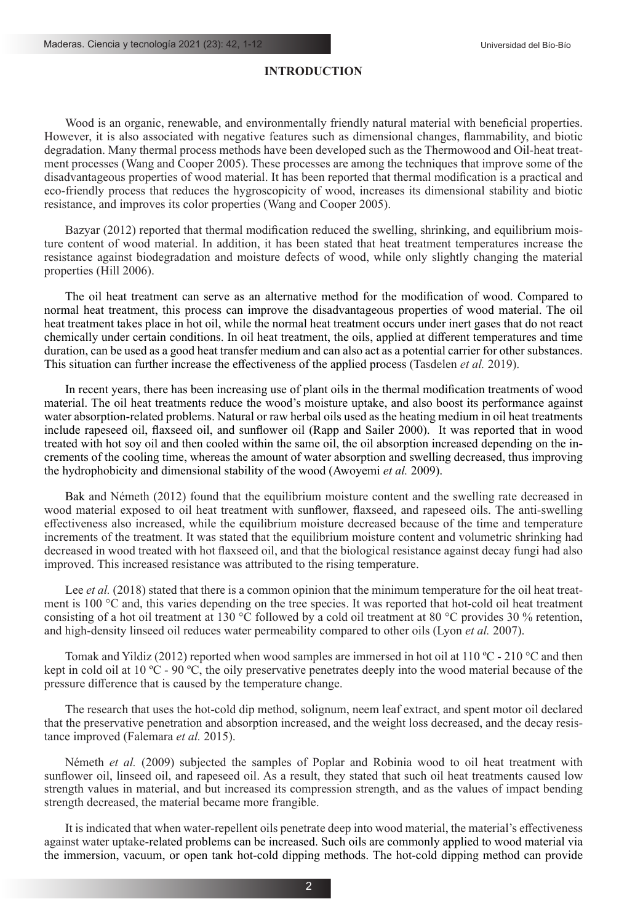# **INTRODUCTION**

Wood is an organic, renewable, and environmentally friendly natural material with beneficial properties. However, it is also associated with negative features such as dimensional changes, flammability, and biotic degradation. Many thermal process methods have been developed such as the Thermowood and Oil-heat treatment processes (Wang and Cooper 2005). These processes are among the techniques that improve some of the disadvantageous properties of wood material. It has been reported that thermal modification is a practical and eco-friendly process that reduces the hygroscopicity of wood, increases its dimensional stability and biotic resistance, and improves its color properties (Wang and Cooper 2005).

Bazyar (2012) reported that thermal modification reduced the swelling, shrinking, and equilibrium moisture content of wood material. In addition, it has been stated that heat treatment temperatures increase the resistance against biodegradation and moisture defects of wood, while only slightly changing the material properties (Hill 2006).

The oil heat treatment can serve as an alternative method for the modification of wood. Compared to normal heat treatment, this process can improve the disadvantageous properties of wood material. The oil heat treatment takes place in hot oil, while the normal heat treatment occurs under inert gases that do not react chemically under certain conditions. In oil heat treatment, the oils, applied at different temperatures and time duration, can be used as a good heat transfer medium and can also act as a potential carrier for other substances. This situation can further increase the effectiveness of the applied process (Tasdelen *et al.* 2019).

In recent years, there has been increasing use of plant oils in the thermal modification treatments of wood material. The oil heat treatments reduce the wood's moisture uptake, and also boost its performance against water absorption-related problems. Natural or raw herbal oils used as the heating medium in oil heat treatments include rapeseed oil, flaxseed oil, and sunflower oil (Rapp and Sailer 2000). It was reported that in wood treated with hot soy oil and then cooled within the same oil, the oil absorption increased depending on the increments of the cooling time, whereas the amount of water absorption and swelling decreased, thus improving the hydrophobicity and dimensional stability of the wood (Awoyemi *et al.* 2009).

Bak and Németh (2012) found that the equilibrium moisture content and the swelling rate decreased in wood material exposed to oil heat treatment with sunflower, flaxseed, and rapeseed oils. The anti-swelling effectiveness also increased, while the equilibrium moisture decreased because of the time and temperature increments of the treatment. It was stated that the equilibrium moisture content and volumetric shrinking had decreased in wood treated with hot flaxseed oil, and that the biological resistance against decay fungi had also improved. This increased resistance was attributed to the rising temperature.

Lee *et al.* (2018) stated that there is a common opinion that the minimum temperature for the oil heat treatment is 100 °C and, this varies depending on the tree species. It was reported that hot-cold oil heat treatment consisting of a hot oil treatment at 130 °C followed by a cold oil treatment at 80 °C provides 30 % retention, and high-density linseed oil reduces water permeability compared to other oils (Lyon *et al.* 2007).

Tomak and Yildiz (2012) reported when wood samples are immersed in hot oil at 110 °C - 210 °C and then kept in cold oil at 10 °C - 90 °C, the oily preservative penetrates deeply into the wood material because of the pressure difference that is caused by the temperature change.

The research that uses the hot-cold dip method, solignum, neem leaf extract, and spent motor oil declared that the preservative penetration and absorption increased, and the weight loss decreased, and the decay resistance improved (Falemara *et al.* 2015).

Németh *et al.* (2009) subjected the samples of Poplar and Robinia wood to oil heat treatment with sunflower oil, linseed oil, and rapeseed oil. As a result, they stated that such oil heat treatments caused low strength values in material, and but increased its compression strength, and as the values of impact bending strength decreased, the material became more frangible.

It is indicated that when water-repellent oils penetrate deep into wood material, the material's effectiveness against water uptake-related problems can be increased. Such oils are commonly applied to wood material via the immersion, vacuum, or open tank hot-cold dipping methods. The hot-cold dipping method can provide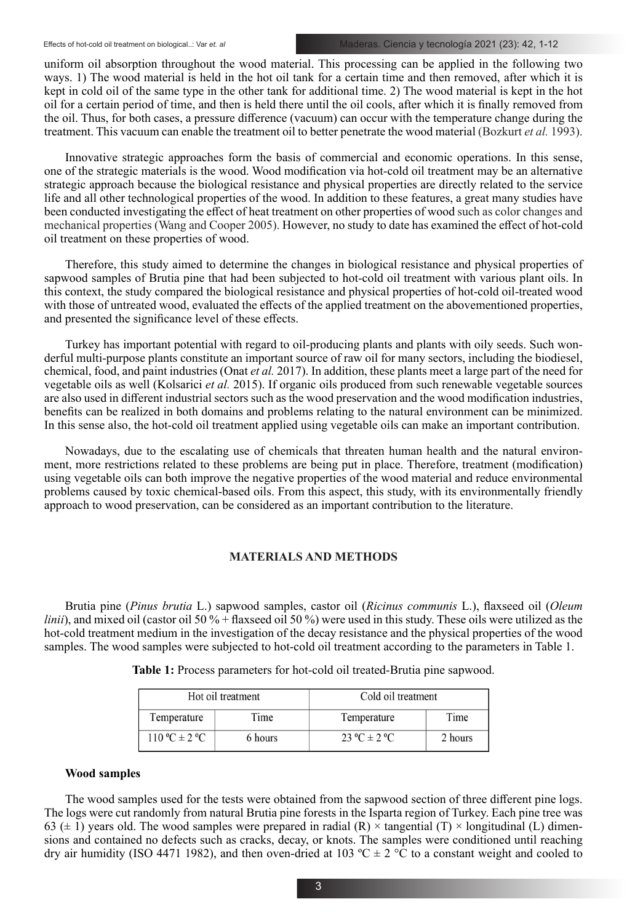uniform oil absorption throughout the wood material. This processing can be applied in the following two ways. 1) The wood material is held in the hot oil tank for a certain time and then removed, after which it is kept in cold oil of the same type in the other tank for additional time. 2) The wood material is kept in the hot oil for a certain period of time, and then is held there until the oil cools, after which it is finally removed from the oil. Thus, for both cases, a pressure difference (vacuum) can occur with the temperature change during the treatment. This vacuum can enable the treatment oil to better penetrate the wood material (Bozkurt *et al.* 1993).

Innovative strategic approaches form the basis of commercial and economic operations. In this sense, one of the strategic materials is the wood. Wood modification via hot-cold oil treatment may be an alternative strategic approach because the biological resistance and physical properties are directly related to the service life and all other technological properties of the wood. In addition to these features, a great many studies have been conducted investigating the effect of heat treatment on other properties of wood such as color changes and mechanical properties (Wang and Cooper 2005). However, no study to date has examined the effect of hot-cold oil treatment on these properties of wood.

Therefore, this study aimed to determine the changes in biological resistance and physical properties of sapwood samples of Brutia pine that had been subjected to hot-cold oil treatment with various plant oils. In this context, the study compared the biological resistance and physical properties of hot-cold oil-treated wood with those of untreated wood, evaluated the effects of the applied treatment on the abovementioned properties, and presented the significance level of these effects.

Turkey has important potential with regard to oil-producing plants and plants with oily seeds. Such wonderful multi-purpose plants constitute an important source of raw oil for many sectors, including the biodiesel, chemical, food, and paint industries (Onat *et al.* 2017). In addition, these plants meet a large part of the need for vegetable oils as well (Kolsarici *et al.* 2015). If organic oils produced from such renewable vegetable sources are also used in different industrial sectors such as the wood preservation and the wood modification industries, benefits can be realized in both domains and problems relating to the natural environment can be minimized. In this sense also, the hot-cold oil treatment applied using vegetable oils can make an important contribution.

Nowadays, due to the escalating use of chemicals that threaten human health and the natural environment, more restrictions related to these problems are being put in place. Therefore, treatment (modification) using vegetable oils can both improve the negative properties of the wood material and reduce environmental problems caused by toxic chemical-based oils. From this aspect, this study, with its environmentally friendly approach to wood preservation, can be considered as an important contribution to the literature.

# **MATERIALS AND METHODS**

Brutia pine (*Pinus brutia* L.) sapwood samples, castor oil (*Ricinus communis* L.), flaxseed oil (*Oleum linii*), and mixed oil (castor oil 50 % + flaxseed oil 50 %) were used in this study. These oils were utilized as the hot-cold treatment medium in the investigation of the decay resistance and the physical properties of the wood samples. The wood samples were subjected to hot-cold oil treatment according to the parameters in Table 1.

| Hot oil treatment |         | Cold oil treatment |         |
|-------------------|---------|--------------------|---------|
| Temperature       | Time    | Temperature        | Time    |
| $110 °C \pm 2 °C$ | 6 hours | $23 °C \pm 2 °C$   | 2 hours |

**Table 1:** Process parameters for hot-cold oil treated-Brutia pine sapwood.

### **Wood samples**

The wood samples used for the tests were obtained from the sapwood section of three different pine logs. The logs were cut randomly from natural Brutia pine forests in the Isparta region of Turkey. Each pine tree was 63 ( $\pm$  1) years old. The wood samples were prepared in radial (R)  $\times$  tangential (T)  $\times$  longitudinal (L) dimensions and contained no defects such as cracks, decay, or knots. The samples were conditioned until reaching dry air humidity (ISO 4471 1982), and then oven-dried at 103 °C  $\pm$  2 °C to a constant weight and cooled to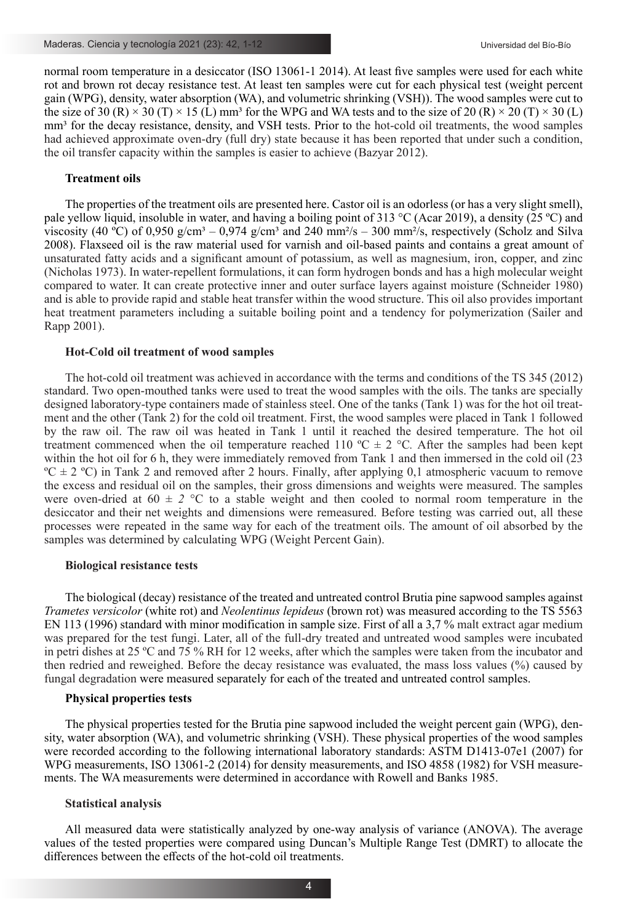normal room temperature in a desiccator (ISO 13061-1 2014). At least five samples were used for each white rot and brown rot decay resistance test. At least ten samples were cut for each physical test (weight percent gain (WPG), density, water absorption (WA), and volumetric shrinking (VSH)). The wood samples were cut to the size of 30 (R)  $\times$  30 (T)  $\times$  15 (L) mm<sup>3</sup> for the WPG and WA tests and to the size of 20 (R)  $\times$  20 (T)  $\times$  30 (L) mm<sup>3</sup> for the decay resistance, density, and VSH tests. Prior to the hot-cold oil treatments, the wood samples had achieved approximate oven-dry (full dry) state because it has been reported that under such a condition, the oil transfer capacity within the samples is easier to achieve (Bazyar 2012).

# **Treatment oils**

The properties of the treatment oils are presented here. Castor oil is an odorless (or has a very slight smell), pale yellow liquid, insoluble in water, and having a boiling point of 313 °C (Acar 2019), a density (25 ºC) and viscosity (40 °C) of 0,950 g/cm<sup>3</sup> – 0,974 g/cm<sup>3</sup> and 240 mm<sup>2</sup>/s – 300 mm<sup>2</sup>/s, respectively (Scholz and Silva 2008). Flaxseed oil is the raw material used for varnish and oil-based paints and contains a great amount of unsaturated fatty acids and a significant amount of potassium, as well as magnesium, iron, copper, and zinc (Nicholas 1973). In water-repellent formulations, it can form hydrogen bonds and has a high molecular weight compared to water. It can create protective inner and outer surface layers against moisture (Schneider 1980) and is able to provide rapid and stable heat transfer within the wood structure. This oil also provides important heat treatment parameters including a suitable boiling point and a tendency for polymerization (Sailer and Rapp 2001).

# **Hot-Cold oil treatment of wood samples**

The hot-cold oil treatment was achieved in accordance with the terms and conditions of the TS 345 (2012) standard. Two open-mouthed tanks were used to treat the wood samples with the oils. The tanks are specially designed laboratory-type containers made of stainless steel. One of the tanks (Tank 1) was for the hot oil treatment and the other (Tank 2) for the cold oil treatment. First, the wood samples were placed in Tank 1 followed by the raw oil. The raw oil was heated in Tank 1 until it reached the desired temperature. The hot oil treatment commenced when the oil temperature reached 110  $^{\circ}$ C  $\pm$  2  $^{\circ}$ C. After the samples had been kept within the hot oil for 6 h, they were immediately removed from Tank 1 and then immersed in the cold oil (23)  $\degree$ C  $\pm$  2  $\degree$ C) in Tank 2 and removed after 2 hours. Finally, after applying 0,1 atmospheric vacuum to remove the excess and residual oil on the samples, their gross dimensions and weights were measured. The samples were oven-dried at  $60 \pm 2$  °C to a stable weight and then cooled to normal room temperature in the desiccator and their net weights and dimensions were remeasured. Before testing was carried out, all these processes were repeated in the same way for each of the treatment oils. The amount of oil absorbed by the samples was determined by calculating WPG (Weight Percent Gain).

### **Biological resistance tests**

The biological (decay) resistance of the treated and untreated control Brutia pine sapwood samples against *Trametes versicolor* (white rot) and *Neolentinus lepideus* (brown rot) was measured according to the TS 5563 EN 113 (1996) standard with minor modification in sample size. First of all a 3,7 % malt extract agar medium was prepared for the test fungi. Later, all of the full-dry treated and untreated wood samples were incubated in petri dishes at 25 ºC and 75 % RH for 12 weeks, after which the samples were taken from the incubator and then redried and reweighed. Before the decay resistance was evaluated, the mass loss values (%) caused by fungal degradation were measured separately for each of the treated and untreated control samples.

### **Physical properties tests**

The physical properties tested for the Brutia pine sapwood included the weight percent gain (WPG), density, water absorption (WA), and volumetric shrinking (VSH). These physical properties of the wood samples were recorded according to the following international laboratory standards: ASTM D1413-07e1 (2007) for WPG measurements, ISO 13061-2 (2014) for density measurements, and ISO 4858 (1982) for VSH measurements. The WA measurements were determined in accordance with Rowell and Banks 1985.

## **Statistical analysis**

All measured data were statistically analyzed by one-way analysis of variance (ANOVA). The average values of the tested properties were compared using Duncan's Multiple Range Test (DMRT) to allocate the differences between the effects of the hot-cold oil treatments.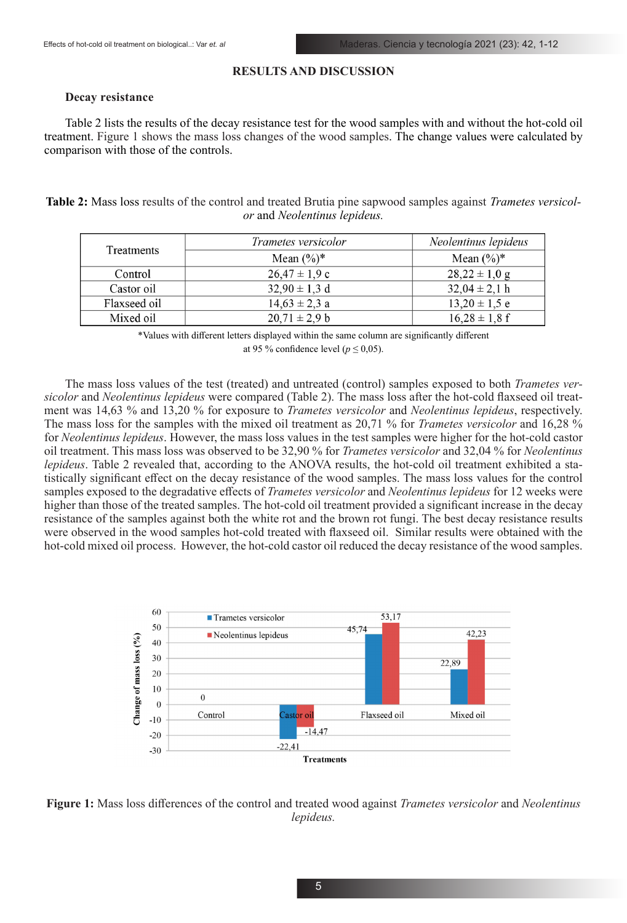# **RESULTS AND DISCUSSION**

### **Decay resistance**

Table 2 lists the results of the decay resistance test for the wood samples with and without the hot-cold oil treatment. Figure 1 shows the mass loss changes of the wood samples. The change values were calculated by comparison with those of the controls.

**Table 2:** Mass loss results of the control and treated Brutia pine sapwood samples against *Trametes versicolor* and *Neolentinus lepideus.*

| Treatments   | Trametes versicolor | Neolentinus lepideus |
|--------------|---------------------|----------------------|
|              | Mean $(\%)^*$       | Mean $(\%)^*$        |
| Control      | $26.47 \pm 1.9$ c   | $28,22 \pm 1,0$ g    |
| Castor oil   | $32,90 \pm 1,3$ d   | $32,04 \pm 2,1$ h    |
| Flaxseed oil | $14.63 \pm 2.3$ a   | $13,20 \pm 1,5$ e    |
| Mixed oil    | $20.71 \pm 2.9 b$   | $16,28 \pm 1,8$ f    |

\*Values with different letters displayed within the same column are significantly different at 95 % confidence level ( $p \le 0.05$ ).

The mass loss values of the test (treated) and untreated (control) samples exposed to both *Trametes versicolor* and *Neolentinus lepideus* were compared (Table 2). The mass loss after the hot-cold flaxseed oil treatment was 14,63 % and 13,20 % for exposure to *Trametes versicolor* and *Neolentinus lepideus*, respectively. The mass loss for the samples with the mixed oil treatment as 20,71 % for *Trametes versicolor* and 16,28 % for *Neolentinus lepideus*. However, the mass loss values in the test samples were higher for the hot-cold castor oil treatment. This mass loss was observed to be 32,90 % for *Trametes versicolor* and 32,04 % for *Neolentinus lepideus*. Table 2 revealed that, according to the ANOVA results, the hot-cold oil treatment exhibited a statistically significant effect on the decay resistance of the wood samples. The mass loss values for the control samples exposed to the degradative effects of *Trametes versicolor* and *Neolentinus lepideus* for 12 weeks were higher than those of the treated samples. The hot-cold oil treatment provided a significant increase in the decay resistance of the samples against both the white rot and the brown rot fungi. The best decay resistance results were observed in the wood samples hot-cold treated with flaxseed oil. Similar results were obtained with the hot-cold mixed oil process. However, the hot-cold castor oil reduced the decay resistance of the wood samples.



**Figure 1:** Mass loss differences of the control and treated wood against *Trametes versicolor* and *Neolentinus lepideus.*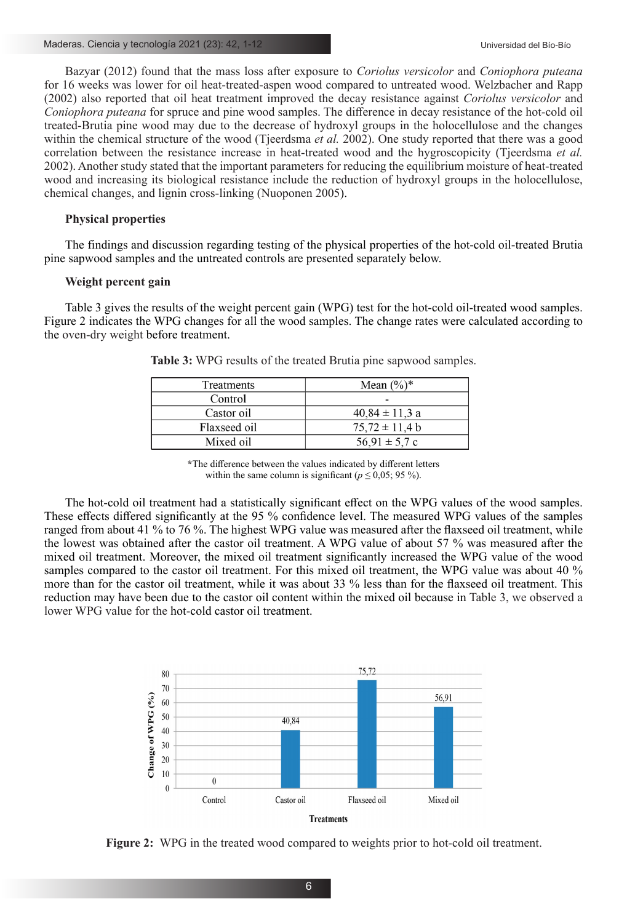Bazyar (2012) found that the mass loss after exposure to *Coriolus versicolor* and *Coniophora puteana* for 16 weeks was lower for oil heat-treated-aspen wood compared to untreated wood. Welzbacher and Rapp (2002) also reported that oil heat treatment improved the decay resistance against *Coriolus versicolor* and *Coniophora puteana* for spruce and pine wood samples. The difference in decay resistance of the hot-cold oil treated-Brutia pine wood may due to the decrease of hydroxyl groups in the holocellulose and the changes within the chemical structure of the wood (Tjeerdsma *et al.* 2002). One study reported that there was a good correlation between the resistance increase in heat-treated wood and the hygroscopicity (Tjeerdsma *et al.* 2002). Another study stated that the important parameters for reducing the equilibrium moisture of heat-treated wood and increasing its biological resistance include the reduction of hydroxyl groups in the holocellulose, chemical changes, and lignin cross-linking (Nuoponen 2005).

# **Physical properties**

The findings and discussion regarding testing of the physical properties of the hot-cold oil-treated Brutia pine sapwood samples and the untreated controls are presented separately below.

## **Weight percent gain**

Table 3 gives the results of the weight percent gain (WPG) test for the hot-cold oil-treated wood samples. Figure 2 indicates the WPG changes for all the wood samples. The change rates were calculated according to the oven-dry weight before treatment.

| Treatments   | Mean $(\%)^*$      |
|--------------|--------------------|
| Control      | -                  |
| Castor oil   | $40,84 \pm 11,3$ a |
| Flaxseed oil | $75.72 \pm 11.4 b$ |
| Mixed oil    | $56.91 \pm 5.7$ c  |

**Table 3:** WPG results of the treated Brutia pine sapwood samples.

**\***The difference between the values indicated by different letters within the same column is significant ( $p \le 0.05$ ; 95 %).

The hot-cold oil treatment had a statistically significant effect on the WPG values of the wood samples. These effects differed significantly at the 95 % confidence level. The measured WPG values of the samples ranged from about 41 % to 76 %. The highest WPG value was measured after the flaxseed oil treatment, while the lowest was obtained after the castor oil treatment. A WPG value of about 57 % was measured after the mixed oil treatment. Moreover, the mixed oil treatment significantly increased the WPG value of the wood samples compared to the castor oil treatment. For this mixed oil treatment, the WPG value was about 40 % more than for the castor oil treatment, while it was about 33 % less than for the flaxseed oil treatment. This reduction may have been due to the castor oil content within the mixed oil because in Table 3, we observed a lower WPG value for the hot-cold castor oil treatment.



**Figure 2:** WPG in the treated wood compared to weights prior to hot-cold oil treatment.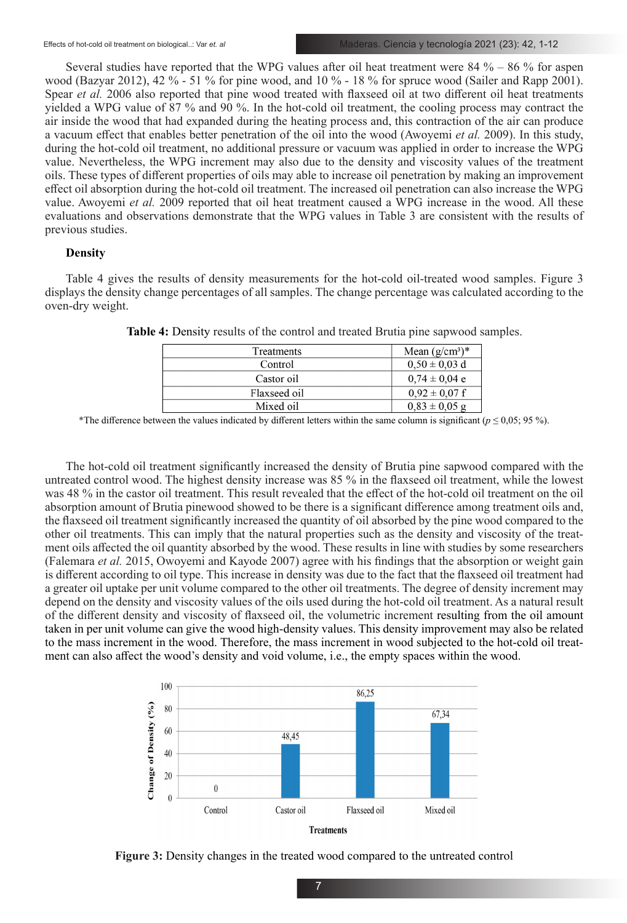Several studies have reported that the WPG values after oil heat treatment were  $84\% - 86\%$  for aspen wood (Bazyar 2012), 42 % - 51 % for pine wood, and 10 % - 18 % for spruce wood (Sailer and Rapp 2001). Spear *et al.* 2006 also reported that pine wood treated with flaxseed oil at two different oil heat treatments yielded a WPG value of 87 % and 90 %. In the hot-cold oil treatment, the cooling process may contract the air inside the wood that had expanded during the heating process and, this contraction of the air can produce a vacuum effect that enables better penetration of the oil into the wood (Awoyemi *et al.* 2009). In this study, during the hot-cold oil treatment, no additional pressure or vacuum was applied in order to increase the WPG value. Nevertheless, the WPG increment may also due to the density and viscosity values of the treatment oils. These types of different properties of oils may able to increase oil penetration by making an improvement effect oil absorption during the hot-cold oil treatment. The increased oil penetration can also increase the WPG value. Awoyemi *et al.* 2009 reported that oil heat treatment caused a WPG increase in the wood. All these evaluations and observations demonstrate that the WPG values in Table 3 are consistent with the results of previous studies.

# **Density**

Table 4 gives the results of density measurements for the hot-cold oil-treated wood samples. Figure 3 displays the density change percentages of all samples. The change percentage was calculated according to the oven-dry weight.

| Treatments   | Mean $(g/cm^3)^*$ |
|--------------|-------------------|
| Control      | $0,50 \pm 0,03$ d |
| Castor oil   | $0.74 \pm 0.04$ e |
| Flaxseed oil | $0.92 \pm 0.07$ f |
| Mixed oil    | $0.83 \pm 0.05$ g |

**Table 4:** Density results of the control and treated Brutia pine sapwood samples.

\*The difference between the values indicated by different letters within the same column is significant ( $p \le 0.05$ ; 95 %).

The hot-cold oil treatment significantly increased the density of Brutia pine sapwood compared with the untreated control wood. The highest density increase was 85 % in the flaxseed oil treatment, while the lowest was 48 % in the castor oil treatment. This result revealed that the effect of the hot-cold oil treatment on the oil absorption amount of Brutia pinewood showed to be there is a significant difference among treatment oils and, the flaxseed oil treatment significantly increased the quantity of oil absorbed by the pine wood compared to the other oil treatments. This can imply that the natural properties such as the density and viscosity of the treatment oils affected the oil quantity absorbed by the wood. These results in line with studies by some researchers (Falemara *et al.* 2015, Owoyemi and Kayode 2007) agree with his findings that the absorption or weight gain is different according to oil type. This increase in density was due to the fact that the flaxseed oil treatment had a greater oil uptake per unit volume compared to the other oil treatments. The degree of density increment may depend on the density and viscosity values of the oils used during the hot-cold oil treatment. As a natural result of the different density and viscosity of flaxseed oil, the volumetric increment resulting from the oil amount taken in per unit volume can give the wood high-density values. This density improvement may also be related to the mass increment in the wood. Therefore, the mass increment in wood subjected to the hot-cold oil treatment can also affect the wood's density and void volume, i.e., the empty spaces within the wood.



**Figure 3:** Density changes in the treated wood compared to the untreated control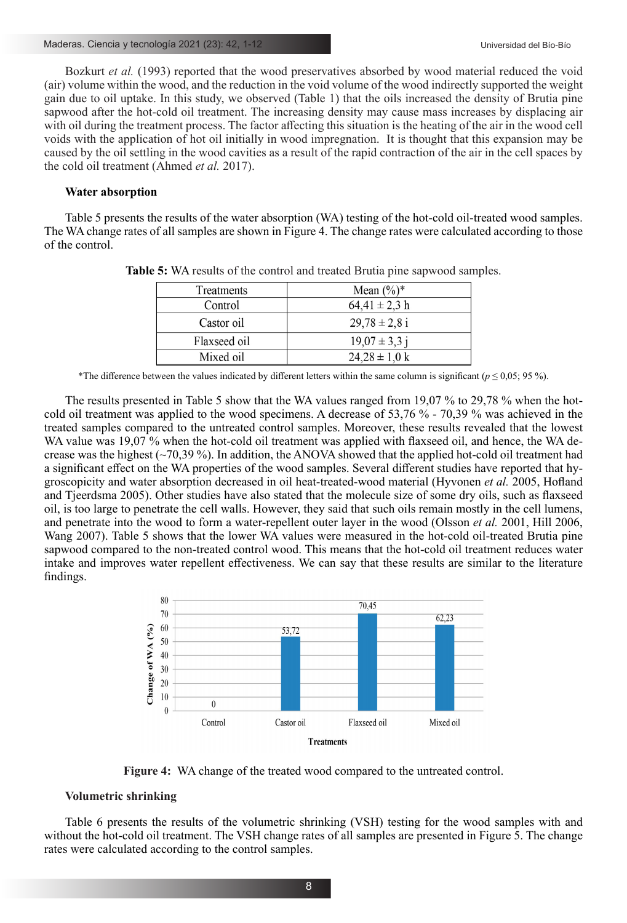Bozkurt *et al.* (1993) reported that the wood preservatives absorbed by wood material reduced the void (air) volume within the wood, and the reduction in the void volume of the wood indirectly supported the weight gain due to oil uptake. In this study, we observed (Table 1) that the oils increased the density of Brutia pine sapwood after the hot-cold oil treatment. The increasing density may cause mass increases by displacing air with oil during the treatment process. The factor affecting this situation is the heating of the air in the wood cell voids with the application of hot oil initially in wood impregnation. It is thought that this expansion may be caused by the oil settling in the wood cavities as a result of the rapid contraction of the air in the cell spaces by the cold oil treatment (Ahmed *et al.* 2017).

# **Water absorption**

Table 5 presents the results of the water absorption (WA) testing of the hot-cold oil-treated wood samples. The WA change rates of all samples are shown in Figure 4. The change rates were calculated according to those of the control.

| Treatments   | Mean $(\%)^*$     |
|--------------|-------------------|
| Control      | $64,41 \pm 2,3$ h |
| Castor oil   | $29.78 \pm 2.8$ i |
| Flaxseed oil | $19.07 \pm 3.3$ j |
| Mixed oil    | $24,28 \pm 1,0$ k |

**Table 5:** WA results of the control and treated Brutia pine sapwood samples.

\*The difference between the values indicated by different letters within the same column is significant ( $p \le 0.05$ ; 95 %).

The results presented in Table 5 show that the WA values ranged from 19,07 % to 29,78 % when the hotcold oil treatment was applied to the wood specimens. A decrease of 53,76 % - 70,39 % was achieved in the treated samples compared to the untreated control samples. Moreover, these results revealed that the lowest WA value was 19,07 % when the hot-cold oil treatment was applied with flaxseed oil, and hence, the WA decrease was the highest  $(\sim 70,39\%)$ . In addition, the ANOVA showed that the applied hot-cold oil treatment had a significant effect on the WA properties of the wood samples. Several different studies have reported that hygroscopicity and water absorption decreased in oil heat-treated-wood material (Hyvonen *et al.* 2005, Hofland and Tjeerdsma 2005). Other studies have also stated that the molecule size of some dry oils, such as flaxseed oil, is too large to penetrate the cell walls. However, they said that such oils remain mostly in the cell lumens, and penetrate into the wood to form a water-repellent outer layer in the wood (Olsson *et al.* 2001, Hill 2006, Wang 2007). Table 5 shows that the lower WA values were measured in the hot-cold oil-treated Brutia pine sapwood compared to the non-treated control wood. This means that the hot-cold oil treatment reduces water intake and improves water repellent effectiveness. We can say that these results are similar to the literature findings.



**Figure 4:** WA change of the treated wood compared to the untreated control.

### **Volumetric shrinking**

Table 6 presents the results of the volumetric shrinking (VSH) testing for the wood samples with and without the hot-cold oil treatment. The VSH change rates of all samples are presented in Figure 5. The change rates were calculated according to the control samples.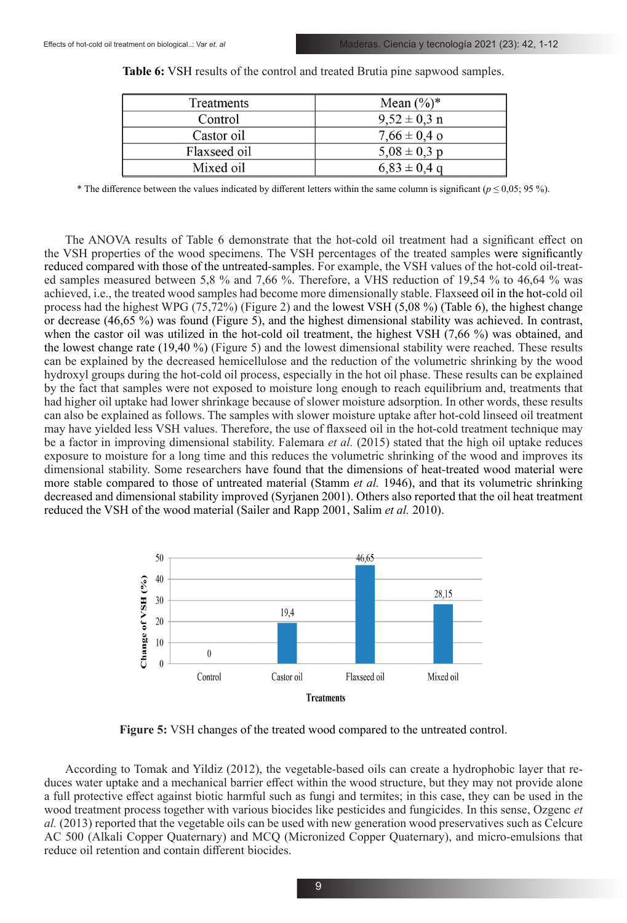| Mean $(\%)^*$    |
|------------------|
| $9.52 \pm 0.3$ n |
| $7,66 \pm 0.4$ o |
| $5.08 \pm 0.3$ p |
| $6,83 \pm 0.4$ q |
|                  |

**Table 6:** VSH results of the control and treated Brutia pine sapwood samples.

\* The difference between the values indicated by different letters within the same column is significant (*p* ≤ 0,05; 95 %).

The ANOVA results of Table 6 demonstrate that the hot-cold oil treatment had a significant effect on the VSH properties of the wood specimens. The VSH percentages of the treated samples were significantly reduced compared with those of the untreated-samples. For example, the VSH values of the hot-cold oil-treated samples measured between 5,8 % and 7,66 %. Therefore, a VHS reduction of 19,54 % to 46,64 % was achieved, i.e., the treated wood samples had become more dimensionally stable. Flaxseed oil in the hot-cold oil process had the highest WPG (75,72%) (Figure 2) and the lowest VSH (5,08 %) (Table 6), the highest change or decrease (46,65 %) was found (Figure 5), and the highest dimensional stability was achieved. In contrast, when the castor oil was utilized in the hot-cold oil treatment, the highest VSH (7,66 %) was obtained, and the lowest change rate (19,40 %) (Figure 5) and the lowest dimensional stability were reached. These results can be explained by the decreased hemicellulose and the reduction of the volumetric shrinking by the wood hydroxyl groups during the hot-cold oil process, especially in the hot oil phase. These results can be explained by the fact that samples were not exposed to moisture long enough to reach equilibrium and, treatments that had higher oil uptake had lower shrinkage because of slower moisture adsorption. In other words, these results can also be explained as follows. The samples with slower moisture uptake after hot-cold linseed oil treatment may have yielded less VSH values. Therefore, the use of flaxseed oil in the hot-cold treatment technique may be a factor in improving dimensional stability. Falemara *et al.* (2015) stated that the high oil uptake reduces exposure to moisture for a long time and this reduces the volumetric shrinking of the wood and improves its dimensional stability. Some researchers have found that the dimensions of heat-treated wood material were more stable compared to those of untreated material (Stamm *et al.* 1946), and that its volumetric shrinking decreased and dimensional stability improved (Syrjanen 2001). Others also reported that the oil heat treatment reduced the VSH of the wood material (Sailer and Rapp 2001, Salim *et al.* 2010).



**Figure 5:** VSH changes of the treated wood compared to the untreated control.

According to Tomak and Yildiz (2012), the vegetable-based oils can create a hydrophobic layer that reduces water uptake and a mechanical barrier effect within the wood structure, but they may not provide alone a full protective effect against biotic harmful such as fungi and termites; in this case, they can be used in the wood treatment process together with various biocides like pesticides and fungicides. In this sense, Ozgenc *et al.* (2013) reported that the vegetable oils can be used with new generation wood preservatives such as Celcure AC 500 (Alkali Copper Quaternary) and MCQ (Micronized Copper Quaternary), and micro-emulsions that reduce oil retention and contain different biocides.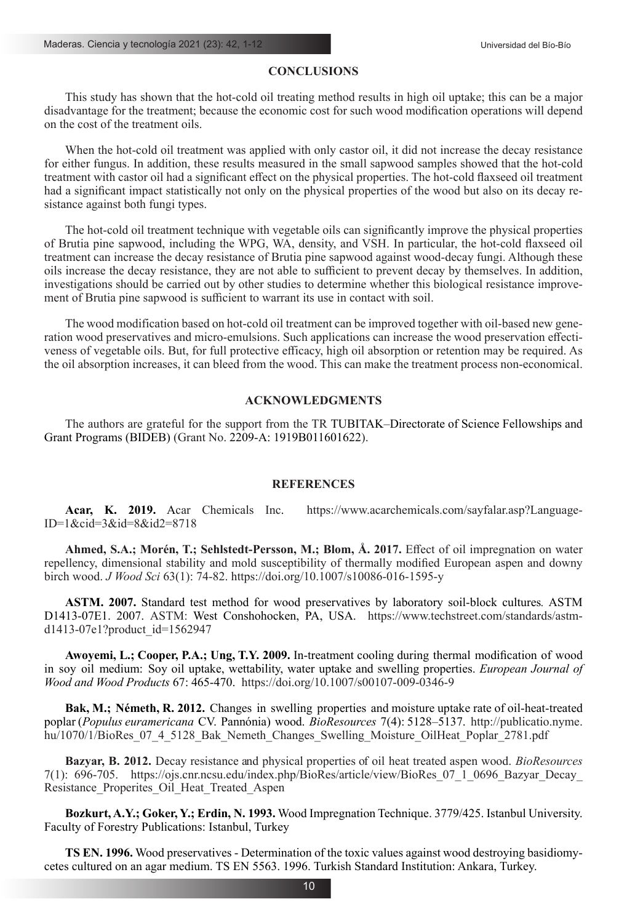# **CONCLUSIONS**

This study has shown that the hot-cold oil treating method results in high oil uptake; this can be a major disadvantage for the treatment; because the economic cost for such wood modification operations will depend on the cost of the treatment oils.

When the hot-cold oil treatment was applied with only castor oil, it did not increase the decay resistance for either fungus. In addition, these results measured in the small sapwood samples showed that the hot-cold treatment with castor oil had a significant effect on the physical properties. The hot-cold flaxseed oil treatment had a significant impact statistically not only on the physical properties of the wood but also on its decay resistance against both fungi types.

The hot-cold oil treatment technique with vegetable oils can significantly improve the physical properties of Brutia pine sapwood, including the WPG, WA, density, and VSH. In particular, the hot-cold flaxseed oil treatment can increase the decay resistance of Brutia pine sapwood against wood-decay fungi. Although these oils increase the decay resistance, they are not able to sufficient to prevent decay by themselves. In addition, investigations should be carried out by other studies to determine whether this biological resistance improvement of Brutia pine sapwood is sufficient to warrant its use in contact with soil.

The wood modification based on hot-cold oil treatment can be improved together with oil-based new generation wood preservatives and micro-emulsions. Such applications can increase the wood preservation effectiveness of vegetable oils. But, for full protective efficacy, high oil absorption or retention may be required. As the oil absorption increases, it can bleed from the wood. This can make the treatment process non-economical.

### **ACKNOWLEDGMENTS**

The authors are grateful for the support from the TR TUBITAK–Directorate of Science Fellowships and Grant Programs (BIDEB) (Grant No. 2209-A: 1919B011601622).

### **REFERENCES**

**Acar, K. 2019.** Acar Chemicals Inc. https://www.acarchemicals.com/sayfalar.asp?Language- $ID=1$ &cid=3&id=8&id2=8718

**Ahmed, S.A.; Morén, T.; Sehlstedt-Persson, M.; Blom, Å. 2017.** Effect of oil impregnation on water repellency, dimensional stability and mold susceptibility of thermally modified European aspen and downy birch wood. *J Wood Sci* 63(1): 74-82. https://doi.org/10.1007/s10086-016-1595-y

**ASTM. 2007.** Standard test method for wood preservatives by laboratory soil-block cultures*.* ASTM D1413-07E1. 2007. ASTM: West Conshohocken, PA, USA. https://www.techstreet.com/standards/astmd1413-07e1?product\_id=1562947

**Awoyemi, L.; Cooper, P.A.; Ung, T.Y. 2009.** In-treatment cooling during thermal modification of wood in soy oil medium: Soy oil uptake, wettability, water uptake and swelling properties. *European Journal of Wood and Wood Products* 67: 465-470. https://doi.org/10.1007/s00107-009-0346-9

**Bak, M.; Németh, R. 2012.** Changes in swelling properties and moisture uptake rate of oil-heat-treated poplar (*Populus euramericana* CV. Pannónia) wood. *BioResources* 7(4): 5128–5137. http://publicatio.nyme. hu/1070/1/BioRes\_07\_4\_5128\_Bak\_Nemeth\_Changes\_Swelling\_Moisture\_OilHeat\_Poplar\_2781.pdf

**Bazyar, B. 2012.** Decay resistance and physical properties of oil heat treated aspen wood. *BioResources* 7(1): 696-705. https://ojs.cnr.ncsu.edu/index.php/BioRes/article/view/BioRes\_07\_1\_0696\_Bazyar\_Decay\_ Resistance Properites Oil Heat Treated Aspen

**Bozkurt, A.Y.; Goker, Y.; Erdin, N. 1993.** Wood Impregnation Technique. 3779/425. Istanbul University. Faculty of Forestry Publications: Istanbul, Turkey

**TS EN. 1996.** Wood preservatives - Determination of the toxic values against wood destroying basidiomycetes cultured on an agar medium. TS EN 5563. 1996. Turkish Standard Institution: Ankara, Turkey.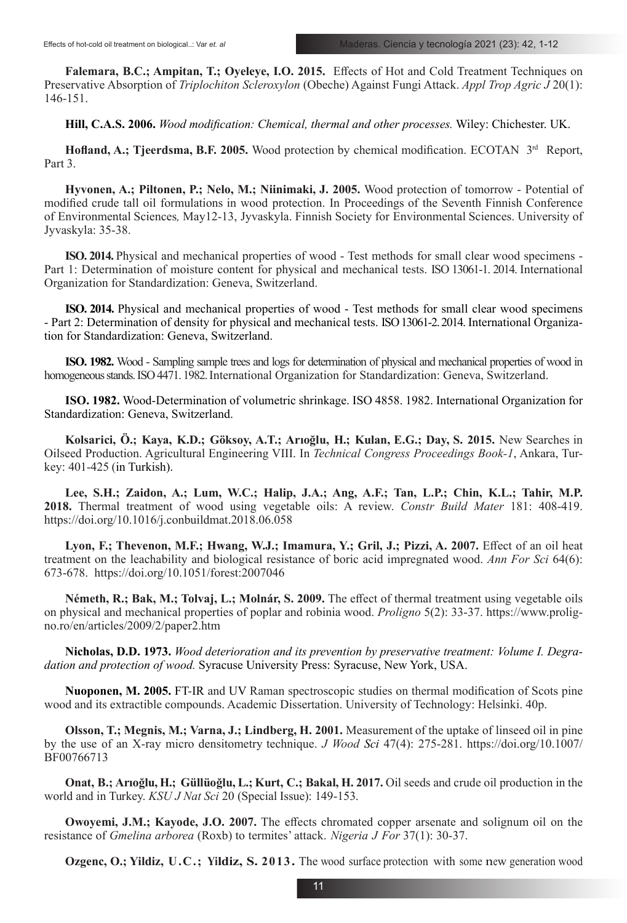**Falemara, B.C.; Ampitan, T.; Oyeleye, I.O. 2015.** Effects of Hot and Cold Treatment Techniques on Preservative Absorption of *Triplochiton Scleroxylon* (Obeche) Against Fungi Attack. *Appl Trop Agric J* 20(1): 146-151.

**Hill, C.A.S. 2006.** *Wood modification: Chemical, thermal and other processes.* Wiley: Chichester. UK.

**Hofland, A.; Tjeerdsma, B.F. 2005.** Wood protection by chemical modification. ECOTAN 3rd Report, Part 3.

**Hyvonen, A.; Piltonen, P.; Nelo, M.; Niinimaki, J. 2005.** Wood protection of tomorrow - Potential of modified crude tall oil formulations in wood protection. In Proceedings of the Seventh Finnish Conference of Environmental Sciences*,* May12-13, Jyvaskyla. Finnish Society for Environmental Sciences. University of Jyvaskyla: 35-38.

**ISO. 2014.** Physical and mechanical properties of wood - Test methods for small clear wood specimens - Part 1: Determination of moisture content for physical and mechanical tests. ISO 13061-1. 2014. International Organization for Standardization: Geneva, Switzerland.

**ISO. 2014.** Physical and mechanical properties of wood - Test methods for small clear wood specimens - Part 2: Determination of density for physical and mechanical tests. ISO 13061-2. 2014. International Organization for Standardization: Geneva, Switzerland.

**ISO. 1982.** Wood - Sampling sample trees and logs for determination of physical and mechanical properties of wood in homogeneous stands. ISO 4471. 1982.International Organization for Standardization: Geneva, Switzerland.

**ISO. 1982.** Wood-Determination of volumetric shrinkage. ISO 4858. 1982. International Organization for Standardization: Geneva, Switzerland.

**Kolsarici, Ö.; Kaya, K.D.; Göksoy, A.T.; Arıoğlu, H.; Kulan, E.G.; Day, S. 2015.** New Searches in Oilseed Production. Agricultural Engineering VIII. In *Technical Congress Proceedings Book-1*, Ankara, Turkey: 401-425 (in Turkish).

**Lee, S.H.; Zaidon, A.; Lum, W.C.; Halip, J.A.; Ang, A.F.; Tan, L.P.; Chin, K.L.; Tahir, M.P. 2018.** Thermal treatment of wood using vegetable oils: A review. *Constr Build Mater* 181: 408-419. https://doi.org/10.1016/j.conbuildmat.2018.06.058

**Lyon, F.; Thevenon, M.F.; Hwang, W.J.; Imamura, Y.; Gril, J.; Pizzi, A. 2007.** Effect of an oil heat treatment on the leachability and biological resistance of boric acid impregnated wood. *Ann For Sci* 64(6): 673-678. https://doi.org/10.1051/forest:2007046

**Németh, R.; Bak, M.; Tolvaj, L.; Molnár, S. 2009.** The effect of thermal treatment using vegetable oils on physical and mechanical properties of poplar and robinia wood. *Proligno* 5(2): 33-37. https://www.proligno.ro/en/articles/2009/2/paper2.htm

**Nicholas, D.D. 1973.** *Wood deterioration and its prevention by preservative treatment: Volume I. Degradation and protection of wood.* Syracuse University Press: Syracuse, New York, USA.

**Nuoponen, M. 2005.** FT-IR and UV Raman spectroscopic studies on thermal modification of Scots pine wood and its extractible compounds. Academic Dissertation. University of Technology: Helsinki. 40p.

**Olsson, T.; Megnis, M.; Varna, J.; Lindberg, H. 2001.** Measurement of the uptake of linseed oil in pine by the use of an X-ray micro densitometry technique. *J Wood Sci* 47(4): 275-281. https://doi.org/10.1007/ BF00766713

**Onat, B.; Arıoğlu, H.; Güllüoğlu, L.; Kurt, C.; Bakal, H. 2017.** Oil seeds and crude oil production in the world and in Turkey. *KSU J Nat Sci* 20 (Special Issue): 149-153.

**Owoyemi, J.M.; Kayode, J.O. 2007.** The effects chromated copper arsenate and solignum oil on the resistance of *Gmelina arborea* (Roxb) to termites' attack. *Nigeria J For* 37(1): 30-37.

**Ozgenc, O.; Yildiz, U.C.; Yildiz, S. 2013.** The wood surface protection with some new generation wood